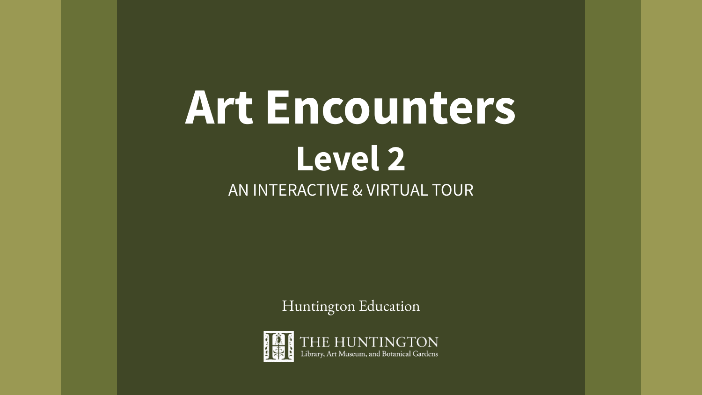# **Art Encounters Level 2** AN INTERACTIVE & VIRTUAL TOUR

Huntington Education

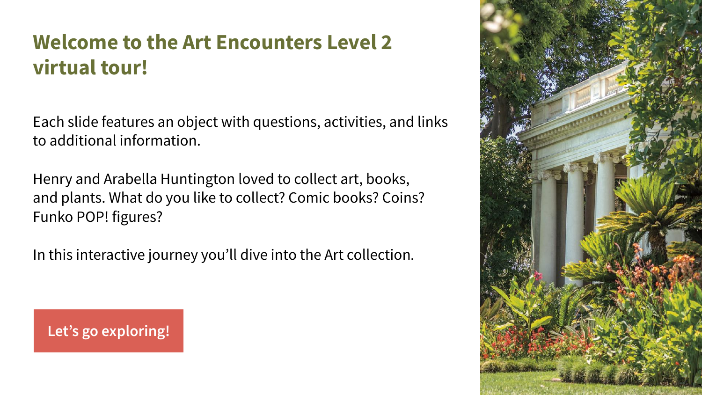## **Welcome to the Art Encounters Level 2 virtual tour!**

Each slide features an object with questions, activities, and links to additional information.

Henry and Arabella Huntington loved to collect art, books, and plants. What do you like to collect? Comic books? Coins? Funko POP! figures?

In this interactive journey you'll dive into the Art collection.

**[Let's go exploring!](#page-2-0)**

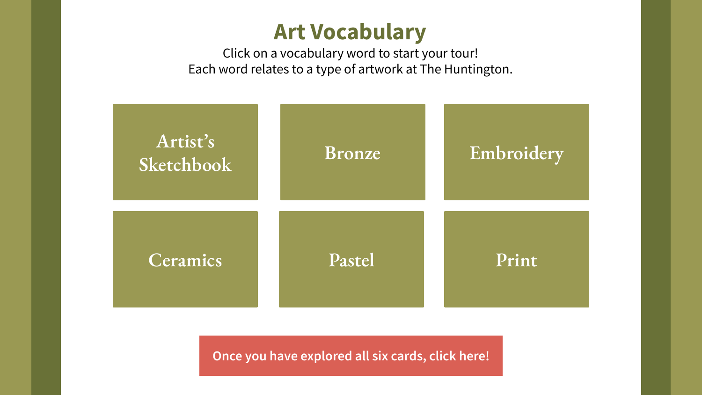### **Art Vocabulary**

Click on a vocabulary word to start your tour! Each word relates to a type of artwork at The Huntington.

<span id="page-2-0"></span>

**[Once you have explored all six cards, click here!](#page-9-0)**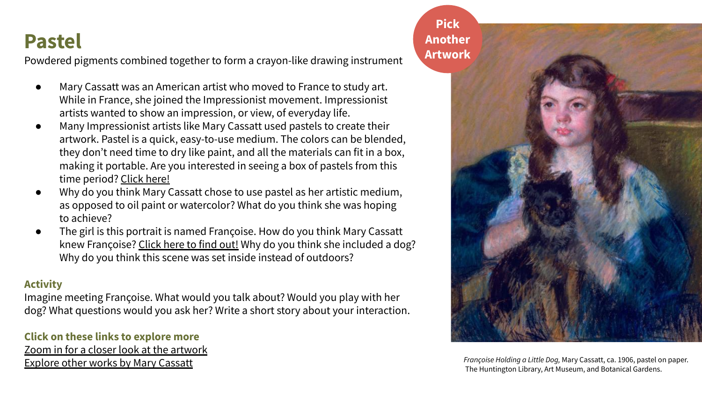### **Pastel**

Powdered pigments combined together to form a crayon-like drawing instrument

- Mary Cassatt was an American artist who moved to France to study art. While in France, she joined the Impressionist movement. Impressionist artists wanted to show an impression, or view, of everyday life.
- Many Impressionist artists like Mary Cassatt used pastels to create their artwork. Pastel is a quick, easy-to-use medium. The colors can be blended, they don't need time to dry like paint, and all the materials can fit in a box, making it portable. Are you interested in seeing a box of pastels from this time period? [Click here!](https://hdl.huntington.org/digital/collection/p9539coll1/id/7189/rec/2)
- Why do you think Mary Cassatt chose to use pastel as her artistic medium, as opposed to oil paint or watercolor? What do you think she was hoping to achieve?
- The girl is this portrait is named Françoise. How do you think Mary Cassatt knew Françoise? [Click here to find out!](https://www.huntington.org/verso/2021/03/connecting-mary-cassatts-pastels) Why do you think she included a dog? Why do you think this scene was set inside instead of outdoors?

#### **Activity**

Imagine meeting Françoise. What would you talk about? Would you play with her dog? What questions would you ask her? Write a short story about your interaction.

#### **Click on these links to explore more**

[Zoom in for a closer look at the artwork](https://emuseum.huntington.org/objects/300/francoise-holding-a-little-dog?ctx=4fef8bc9ad08fe20e81e6fba0d18a7fdadce5ba0&idx=0) [Explore other works by Mary Cassatt](https://emuseum.huntington.org/search/cassatt)

**Pick [Another](#)  Artwork**



*Françoise Holding a Little Dog,* Mary Cassatt, ca. 1906, pastel on paper. The Huntington Library, Art Museum, and Botanical Gardens.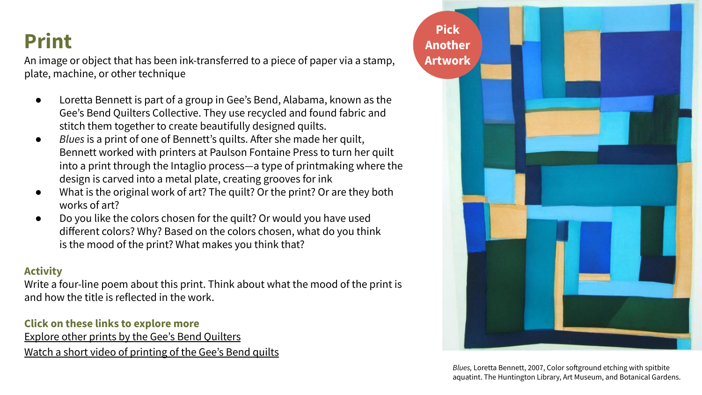## **Print**

An image or object that has been ink-transferred to a piece of paper via a stamp, plate, machine, or other technique

- Loretta Bennett is part of a group in Gee's Bend, Alabama, known as the Gee's Bend Quilters Collective. They use recycled and found fabric and stitch them together to create beautifully designed quilts.
- *Blues* is a print of one of Bennett's quilts. After she made her quilt, Bennett worked with printers at Paulson Fontaine Press to turn her quilt into a print through the Intaglio process—a type of printmaking where the design is carved into a metal plate, creating grooves for ink
- What is the original work of art? The quilt? Or the print? Or are they both works of art?
- Do you like the colors chosen for the quilt? Or would you have used different colors? Why? Based on the colors chosen, what do you think is the mood of the print? What makes you think that?

#### **Activity**

Write a four-line poem about this print. Think about what the mood of the print is and how the title is reflected in the work.

#### **Click on these links to explore more**

[Explore other prints by the Gee's Bend Quilters](https://emuseum.huntington.org/search/*/objects/images?filter=classifications%3APRINTS%3Bcollections%3AArt%20Collectors%27%20Council%25255C%3A%201995%20-%202019&page=1) [Watch a short video of printing of the Gee's Bend quilts](https://www.youtube.com/watch?v=w5iGtm2rpl0)



*Blues,* Loretta Bennett, 2007, Color softground etching with spitbite aquatint. The Huntington Library, Art Museum, and Botanical Gardens.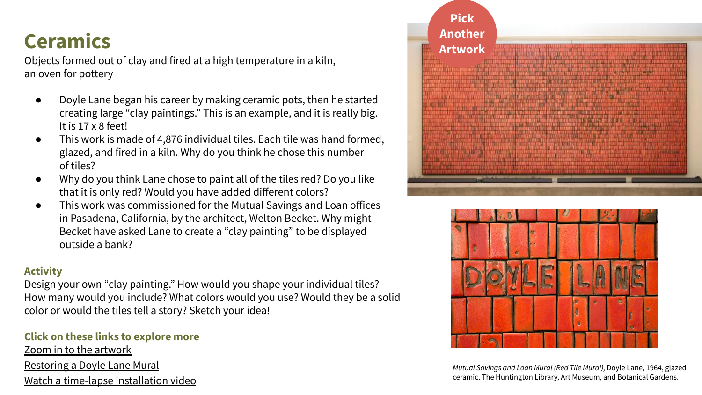### **Ceramics**

Objects formed out of clay and fired at a high temperature in a kiln, an oven for pottery

- Doyle Lane began his career by making ceramic pots, then he started creating large "clay paintings." This is an example, and it is really big. It is 17 x 8 feet!
- This work is made of 4,876 individual tiles. Each tile was hand formed, glazed, and fired in a kiln. Why do you think he chose this number of tiles?
- Why do you think Lane chose to paint all of the tiles red? Do you like that it is only red? Would you have added different colors?
- This work was commissioned for the Mutual Savings and Loan offices in Pasadena, California, by the architect, Welton Becket. Why might Becket have asked Lane to create a "clay painting" to be displayed outside a bank?

#### **Activity**

Design your own "clay painting." How would you shape your individual tiles? How many would you include? What colors would you use? Would they be a solid color or would the tiles tell a story? Sketch your idea!

#### **Click on these links to explore more**

[Zoom in to the artwork](https://emuseum.huntington.org/objects/54110/mutual-savings-and-loan-mural-red-tile-mural?ctx=9da15dc6003d2dd73b06c08e826f34b4b9184b57&idx=0) [Restoring a Doyle Lane Mural](https://www.huntington.org/verso/2018/08/restoring-doyle-lane-mural) [Watch a time-lapse installation video](https://www.youtube.com/watch?v=jVsQIkbmtEQ)





*Mutual Savings and Loan Mural (Red Tile Mural),* Doyle Lane, 1964, glazed ceramic. The Huntington Library, Art Museum, and Botanical Gardens.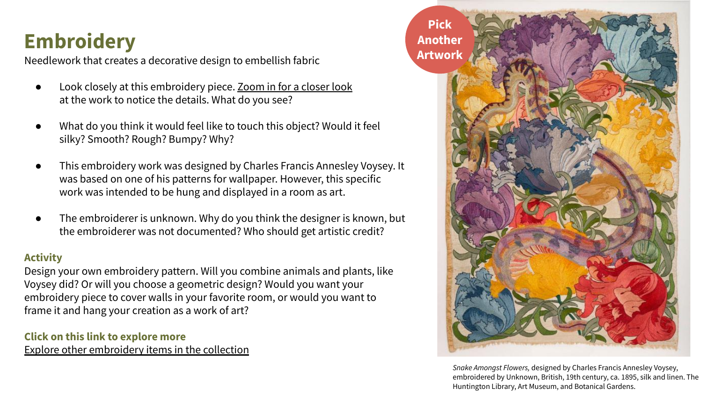# **Embroidery**

Needlework that creates a decorative design to embellish fabric

- Look closely at this embroidery piece. [Zoom in for a closer look](https://emuseum.huntington.org/objects/52874/snake-amongst-flowers?ctx=f3f1f9f84fa5e786d977945f093f945f739d154e&idx=1) at the work to notice the details. What do you see?
- What do you think it would feel like to touch this object? Would it feel silky? Smooth? Rough? Bumpy? Why?
- This embroidery work was designed by Charles Francis Annesley Voysey. It was based on one of his patterns for wallpaper. However, this specific work was intended to be hung and displayed in a room as art.
- The embroiderer is unknown. Why do you think the designer is known, but the embroiderer was not documented? Who should get artistic credit?

#### **Activity**

Design your own embroidery pattern. Will you combine animals and plants, like Voysey did? Or will you choose a geometric design? Would you want your embroidery piece to cover walls in your favorite room, or would you want to frame it and hang your creation as a work of art?

**Click on this link to explore more** [Explore other embroidery items in the collection](https://emuseum.huntington.org/search/sampler)



*Snake Amongst Flowers,* designed by Charles Francis Annesley Voysey, embroidered by Unknown, British, 19th century, ca. 1895, silk and linen. The Huntington Library, Art Museum, and Botanical Gardens.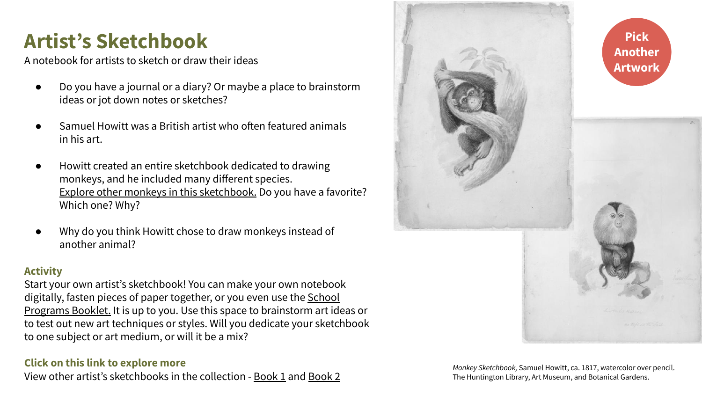### **Artist's Sketchbook**

A notebook for artists to sketch or draw their ideas

- Do you have a journal or a diary? Or maybe a place to brainstorm ideas or jot down notes or sketches?
- Samuel Howitt was a British artist who often featured animals in his art.
- Howitt created an entire sketchbook dedicated to drawing monkeys, and he included many different species. [Explore other monkeys in this sketchbook.](https://emuseum.huntington.org/objects/21127/monkey-sketchbook-leaf-40?ctx=a78349ffa04560d75ff5185898c0981eb9204357&idx=17) Do you have a favorite? Which one? Why?
- Why do you think Howitt chose to draw monkeys instead of another animal?

#### **Activity**

Start your own artist's sketchbook! You can make your own notebook digitally, fasten pieces of paper together, or you even use the [School](https://www.huntington.org/sites/default/files/pdfs/school-program-booklet.pdf) [Programs Booklet.](https://www.huntington.org/sites/default/files/pdfs/school-program-booklet.pdf) It is up to you. Use this space to brainstorm art ideas or to test out new art techniques or styles. Will you dedicate your sketchbook to one subject or art medium, or will it be a mix?

#### **Click on this link to explore more**

View other artist's sketchbooks in the collection - [Book 1](https://emuseum.huntington.org/people/29/robert-blake/objects) and [Book 2](https://emuseum.huntington.org/search/mushrooms)



*Monkey Sketchbook,* Samuel Howitt, ca. 1817, watercolor over pencil. The Huntington Library, Art Museum, and Botanical Gardens.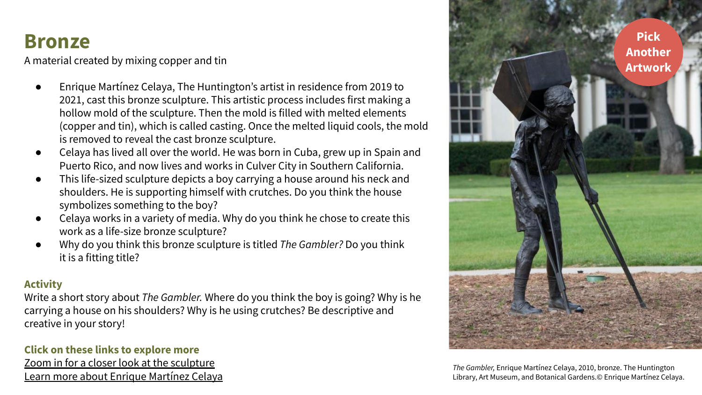### **Bronze**

A material created by mixing copper and tin

- Enrique Martínez Celaya, The Huntington's artist in residence from 2019 to 2021, cast this bronze sculpture. This artistic process includes first making a hollow mold of the sculpture. Then the mold is filled with melted elements (copper and tin), which is called casting. Once the melted liquid cools, the mold is removed to reveal the cast bronze sculpture.
- Celaya has lived all over the world. He was born in Cuba, grew up in Spain and Puerto Rico, and now lives and works in Culver City in Southern California.
- This life-sized sculpture depicts a boy carrying a house around his neck and shoulders. He is supporting himself with crutches. Do you think the house symbolizes something to the boy?
- Celaya works in a variety of media. Why do you think he chose to create this work as a life-size bronze sculpture?
- Why do you think this bronze sculpture is titled *The Gambler?* Do you think it is a fitting title?

#### **Activity**

Write a short story about *The Gambler.* Where do you think the boy is going? Why is he carrying a house on his shoulders? Why is he using crutches? Be descriptive and creative in your story!

#### **Click on these links to explore more**

[Zoom in for a closer look at the sculpture](https://emuseum.huntington.org/objects/57953/the-gambler?ctx=cf170851f0025198125d2ed4d18401ed05975d7c&idx=0) [Learn more about Enrique Martínez Celaya](http://www.martinezcelaya.com/)



*The Gambler,* Enrique Martínez Celaya, 2010, bronze. The Huntington Library, Art Museum, and Botanical Gardens.© Enrique Martínez Celaya.